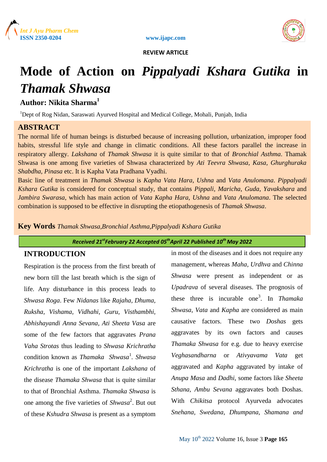



# **Mode of Action on** *Pippalyadi Kshara Gutika* **in**  *Thamak Shwasa*

# **Author: Nikita Sharma<sup>1</sup>**

<sup>1</sup>Dept of Rog Nidan, Saraswati Ayurved Hospital and Medical College, Mohali, Punjab, India

# **ABSTRACT**

The normal life of human beings is disturbed because of increasing pollution, urbanization, improper food habits, stressful life style and change in climatic conditions. All these factors parallel the increase in respiratory allergy. *Lakshana* of *Thamak Shwasa* it is quite similar to that of *Bronchial Asthma*. Thamak Shwasa is one among five varieties of Shwasa characterized by *Ati Teevra Shwasa, Kasa, Ghurghuraka Shabdha, Pinasa* etc. It is Kapha Vata Pradhana Vyadhi.

Basic line of treatment in *Thamak Shwasa* is *Kapha Vata Hara*, *Ushna* and *Vata Anulomana*. *Pippalyadi Kshara Gutika* is considered for conceptual study, that contains *Pippali, Maricha*, *Guda, Yavakshara* and *Jambira Swarasa*, which has main action of *Vata Kapha Hara, Ushna* and *Vata Anulomana*. The selected combination is supposed to be effective in disrupting the etiopathogenesis of *Thamak Shwasa*.

**Key Words** *Thamak Shwasa,Bronchial Asthma,Pippalyadi Kshara Gutika*

*Received 21stFebruary 22 Accepted 05thApril 22 Published 10th May 2022*

# **INTRODUCTION**

Respiration is the process from the first breath of new born till the last breath which is the sign of life. Any disturbance in this process leads to *Shwasa Roga*. Few *Nidanas* like *Rajaha, Dhuma, Ruksha, Vishama, Vidhahi, Guru, Visthambhi, Abhishayandi Anna Sevana, Ati Sheeta Vasa* are some of the few factors that aggravates *Prana Vaha Strotas* thus leading to *Shwasa Krichratha* condition known as *Thamaka Shwasa*<sup>1</sup> *. Shwasa Krichratha* is one of the important *Lakshana* of the disease *Thamaka Shwasa* that is quite similar to that of Bronchial Asthma. *Thamaka Shwasa* is one among the five varieties of *Shwasa*<sup>2</sup>. But out of these *Kshudra Shwasa* is present as a symptom

in most of the diseases and it does not require any management, whereas *Maha, Urdhva* and *Chinna Shwasa* were present as independent or as *Upadrava* of several diseases. The prognosis of these three is incurable one<sup>3</sup> . In *Thamaka Shwasa*, *Vata* and *Kapha* are considered as main causative factors. These two *Doshas* gets aggravates by its own factors and causes *Thamaka Shwasa* for e.g. due to heavy exercise *Veghasandharna* or *Ativyavama Vata* get aggravated and *Kapha* aggravated by intake of *Anupa Masa* and *Dadhi*, some factors like *Sheeta Sthana, Ambu Sevana* aggravates both Doshas. With *Chikitsa* protocol Ayurveda advocates *Snehana, Swedana, Dhumpana, Shamana and*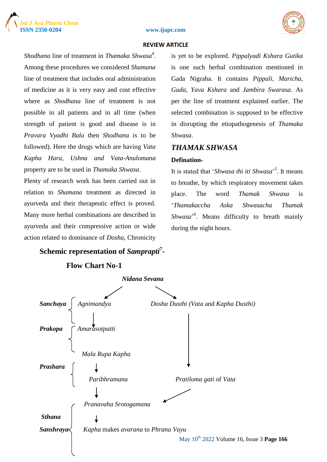





Shodhana line of treatment in *Thamaka Shwasa*<sup>4</sup>. Among these procedures we considered *Shamana* line of treatment that includes oral administration of medicine as it is very easy and cost effective where as *Shodhana* line of treatment is not possible in all patients and in all time (when strength of patient is good and disease is in *Pravara Vyadhi Bala* then *Shodhana* is to be followed). Here the drugs which are having *Vata Kapha Hara, Ushna and Vata-Anulomana* property are to be used in *Thamaka Shwasa*.

Plenty of research work has been carried out in relation to *Shamana* treatment as directed in ayurveda and their therapeutic effect is proved. Many more herbal combinations are described in ayurveda and their compressive action or wide action related to dominance of *Dosha*, Chronicity is yet to be explored. *Pippalyadi Kshara Gutika* is one such herbal combination mentioned in Gada Nigraha. It contains *Pippali, Maricha, Guda, Yava Kshara* and *Jambira Swarasa*. As per the line of treatment explained earlier. The selected combination is supposed to be effective in disrupting the etiopathogenesis of *Thamaka Shwasa*.

# *THAMAK SHWASA*

## **Defination-**

It is stated that '*Shwasa thi iti Shwasa*' 5 . It means to breathe, by which respiratory movement takes place. The word *Thamak Shwasa* is '*Thamakaccha Aska Shwasacha Thamak*  Shwasa<sup>26</sup>. Means difficulty to breath mainly during the night hours.

**Schemic representation of** *Samprapti***<sup>7</sup> -**

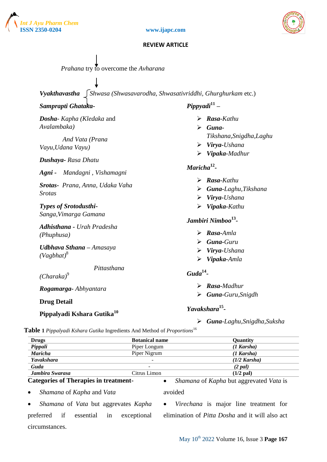![](_page_2_Picture_0.jpeg)

![](_page_2_Picture_1.jpeg)

![](_page_2_Picture_2.jpeg)

| <i>Prahana</i> try to overcome the <i>Avharana</i>                                                                                    |                                                                                                       |
|---------------------------------------------------------------------------------------------------------------------------------------|-------------------------------------------------------------------------------------------------------|
|                                                                                                                                       |                                                                                                       |
| Vyakthavastha ∫ Shwasa (Shwasavarodha, Shwasativriddhi, Ghurghurkam etc.)                                                             |                                                                                                       |
| Samprapti Ghataka-                                                                                                                    | $Pippyadi11$ –                                                                                        |
| Dosha- Kapha (Kledaka and<br>Avalambaka)                                                                                              | $\triangleright$ Rasa-Kathu<br>$\triangleright$ Guna-                                                 |
| And Vata (Prana<br>Vayu, Udana Vayu)                                                                                                  | Tikshana, Snigdha, Laghu<br>$\triangleright$ Virya-Ushana<br>$\triangleright$ Vipaka-Madhur           |
| Dushaya- Rasa Dhatu<br>Mandagni, Vishamagni<br>$A$ gni -                                                                              | Maricha <sup>12</sup> -                                                                               |
| Srotas- Prana, Anna, Udaka Vaha<br><b>Srotas</b>                                                                                      | $\triangleright$ Rasa-Kathu<br>$\triangleright$ Guna-Laghu, Tikshana<br>$\triangleright$ Virya-Ushana |
| <b>Types of Srotodusthi-</b><br>Sanga, Vimarga Gamana                                                                                 | Vipaka-Kathu                                                                                          |
| Adhisthana - Urah Pradesha<br>(Phuphusa)                                                                                              | Jambiri Nimboo <sup>13</sup> -<br>$\triangleright$ Rasa-Amla                                          |
| Udbhava Sthana - Amasaya<br>$(Vagbhat)^8$                                                                                             | $\triangleright$ Guna-Guru<br>$\triangleright$ Virya-Ushana<br>Vipaka-Amla                            |
| Pittasthana<br>$(Charaka)^9$                                                                                                          | Guda <sup>14</sup>                                                                                    |
| Rogamarga-Abhyantara                                                                                                                  | $\triangleright$ Rasa-Madhur<br>$\triangleright$ Guna-Guru, Snigdh                                    |
| <b>Drug Detail</b>                                                                                                                    |                                                                                                       |
| Pippalyadi Kshara Gutika <sup>10</sup><br><b>Table 1</b> Pippalyadi Kshara Gutika Ingredients And Method of Proportions <sup>16</sup> | Yavakshara <sup>15</sup> -<br>Guna-Laghu, Snigdha, Suksha<br>➤                                        |

| <b>Drugs</b>                                      | <b>Botanical name</b>    | Quantity                                |
|---------------------------------------------------|--------------------------|-----------------------------------------|
| Pippali                                           | Piper Longum             | $(1$ Karsha)                            |
| <b>Maricha</b>                                    | Piper Nigrum             | $(1$ Karsha)                            |
| <b>Yavakshara</b>                                 | -                        | $(1/2$ Karsha)                          |
| Guda                                              | $\overline{\phantom{0}}$ | (2 pal)                                 |
| Jambira Swarasa                                   | Citrus Limon             | $(1/2$ pal)                             |
| <b>Categories of Therapies in treatment-</b><br>٠ |                          | Shamana of Kapha but aggrevated Vata is |

## **Categories of Therapies in treatment-**

*Shamana* of *Kapha* and *Vata*

avoided

 *Shamana* of *Vata* but aggrevates *Kapha* preferred if essential in exceptional circumstances.

 *Virechana* is major line treatment for elimination of *Pitta Dosha* and it will also act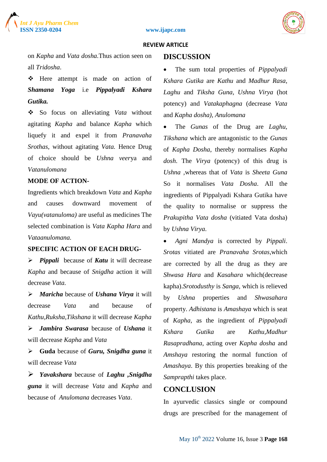![](_page_3_Picture_1.jpeg)

![](_page_3_Picture_2.jpeg)

on *Kapha* and *Vata dosha*.Thus action seen on all *Tridosha*.

 Here attempt is made on action of *Shamana Yoga* i.e *Pippalyadi Kshara* *Gutika.*

 So focus on alleviating *Vata* without agitating *Kapha* and balance *Kapha* which liquefy it and expel it from *Pranavaha Srothas*, without agitating *Vata.* Hence Drug of choice should be *Ushna veer*ya and *Vatanulomana*

## **MODE OF ACTION-**

Ingredients which breakdown *Vata* and *Kapha* and causes downward movement of *Vayu(vatanuloma)* are useful as medicines The selected combination is *Vata Kapha Hara* and *Vataanulomana.*

# **SPECIFIC ACTION OF EACH DRUG-**

 *Pippali* because of *Katu* it will decrease *Kapha* and because of *Snigdha* action it will decrease *Vata.*

 *Maricha* because of *Ushana Virya* it will decrease *Vata* and because of *Kathu,Ruksha,Tikshana* it will decrease *Kapha Jambira Swarasa* because of *Ushana* it will decrease *Kapha* and *Vata* 

 **Guda** because of *Guru, Snigdha guna* it will decrease *Vata* 

 *Yavakshara* because of *Laghu ,Snigdha guna* it will decrease *Vata* and *Kapha* and because of *Anulomana* decreases *Vata*.

## **DISCUSSION**

 The sum total properties of *Pippalyadi Kshara Gutika* are *Kathu* and *Madhur Rasa*, *Laghu* and *Tiksha Guna*, *Ushna Virya* (hot potency) and *Vatakaphagna* (decrease *Vata*  and *Kapha dosha), Anulomana*

 The *Gunas* of the Drug are *Laghu, Tikshana* which are antagonistic to the *Gunas* of *Kapha Dosha*, thereby normalises *Kapha dosh*. The *Virya* (potency) of this drug is *Ushna ,*whereas that of *Vata* is *Sheeta Guna* So it normalises *Vata Dosha*. All the ingredients of Pippalyadi Kshara Gutika have the quality to normalise or suppress the *Prakupitha Vata dosha* (vitiated Vata dosha) by *Ushna Virya*.

 *Agni Mandya* is corrected by *Pippali*. *Srotas* vitiated are *Pranavaha Srotas*,which are corrected by all the drug as they are *Shwasa Hara* and *Kasahara* which(decrease kapha).*Srotodusthy* is *Sanga*, which is relieved by *Ushna* properties and *Shwasahara*  property. *Adhistana* is *Amashaya* which is seat of *Kapha,* as the ingredient of *Pippalyadi Kshara Gutika* are *Kathu,Madhur Rasapradhana*, acting over *Kapha dosha* and *Amshaya* restoring the normal function of *Amashaya*. By this properties breaking of the *Samprapthi* takes place.

## **CONCLUSION**

In ayurvedic classics single or compound drugs are prescribed for the management of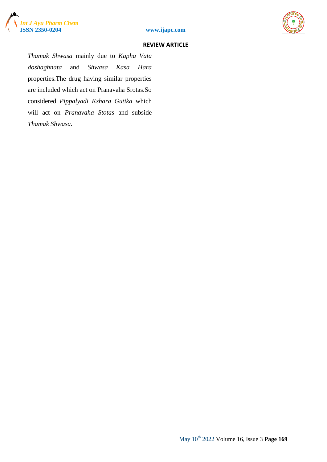![](_page_4_Picture_0.jpeg)

![](_page_4_Picture_1.jpeg)

![](_page_4_Picture_2.jpeg)

*Thamak Shwasa* mainly due to *Kapha Vata doshaghnata* and *Shwasa Kasa Hara* properties.The drug having similar properties are included which act on Pranavaha Srotas.So considered *Pippalyadi Kshara Gutika* which will act on *Pranavaha Stotas* and subside *Thamak Shwasa.*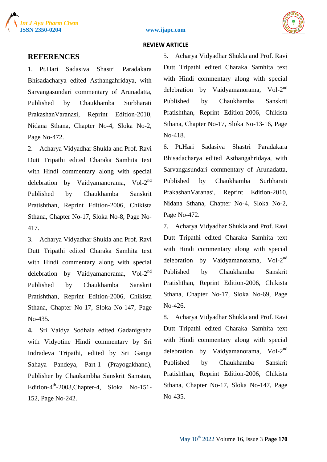![](_page_5_Picture_0.jpeg)

![](_page_5_Picture_1.jpeg)

![](_page_5_Picture_2.jpeg)

## **REFERENCES**

1. Pt.Hari Sadasiva Shastri Paradakara Bhisadacharya edited Asthangahridaya, with Sarvangasundari commentary of Arunadatta, Published by Chaukhamba Surbharati PrakashanVaranasi, Reprint Edition-2010, Nidana Sthana, Chapter No-4, Sloka No-2, Page No-472.

2. Acharya Vidyadhar Shukla and Prof. Ravi Dutt Tripathi edited Charaka Samhita text with Hindi commentary along with special delebration by Vaidyamanorama,  $Vol-2^{nd}$ Published by Chaukhamba Sanskrit Pratishthan, Reprint Edition-2006, Chikista Sthana, Chapter No-17, Sloka No-8, Page No-417.

3. Acharya Vidyadhar Shukla and Prof. Ravi Dutt Tripathi edited Charaka Samhita text with Hindi commentary along with special delebration by Vaidyamanorama, Vol-2<sup>nd</sup> Published by Chaukhamba Sanskrit Pratishthan, Reprint Edition-2006, Chikista Sthana, Chapter No-17, Sloka No-147, Page No-435.

**4.** Sri Vaidya Sodhala edited Gadanigraha with Vidyotine Hindi commentary by Sri Indradeva Tripathi, edited by Sri Ganga Sahaya Pandeya, Part-1 (Prayogakhand), Publisher by Chaukambha Sanskrit Samstan, Edition-4<sup>th</sup>-2003, Chapter-4, Sloka No-151-152, Page No-242.

5. Acharya Vidyadhar Shukla and Prof. Ravi Dutt Tripathi edited Charaka Samhita text with Hindi commentary along with special delebration by Vaidyamanorama,  $Vol-2^{nd}$ Published by Chaukhamba Sanskrit Pratishthan, Reprint Edition-2006, Chikista Sthana, Chapter No-17, Sloka No-13-16, Page No-418.

6. Pt.Hari Sadasiva Shastri Paradakara Bhisadacharya edited Asthangahridaya, with Sarvangasundari commentary of Arunadatta, Published by Chaukhamba Surbharati PrakashanVaranasi, Reprint Edition-2010, Nidana Sthana, Chapter No-4, Sloka No-2, Page No-472.

7. Acharya Vidyadhar Shukla and Prof. Ravi Dutt Tripathi edited Charaka Samhita text with Hindi commentary along with special delebration by Vaidyamanorama,  $Vol-2^{nd}$ Published by Chaukhamba Sanskrit Pratishthan, Reprint Edition-2006, Chikista Sthana, Chapter No-17, Sloka No-69, Page No-426.

8. Acharya Vidyadhar Shukla and Prof. Ravi Dutt Tripathi edited Charaka Samhita text with Hindi commentary along with special delebration by Vaidyamanorama, Vol-2<sup>nd</sup> Published by Chaukhamba Sanskrit Pratishthan, Reprint Edition-2006, Chikista Sthana, Chapter No-17, Sloka No-147, Page No-435.